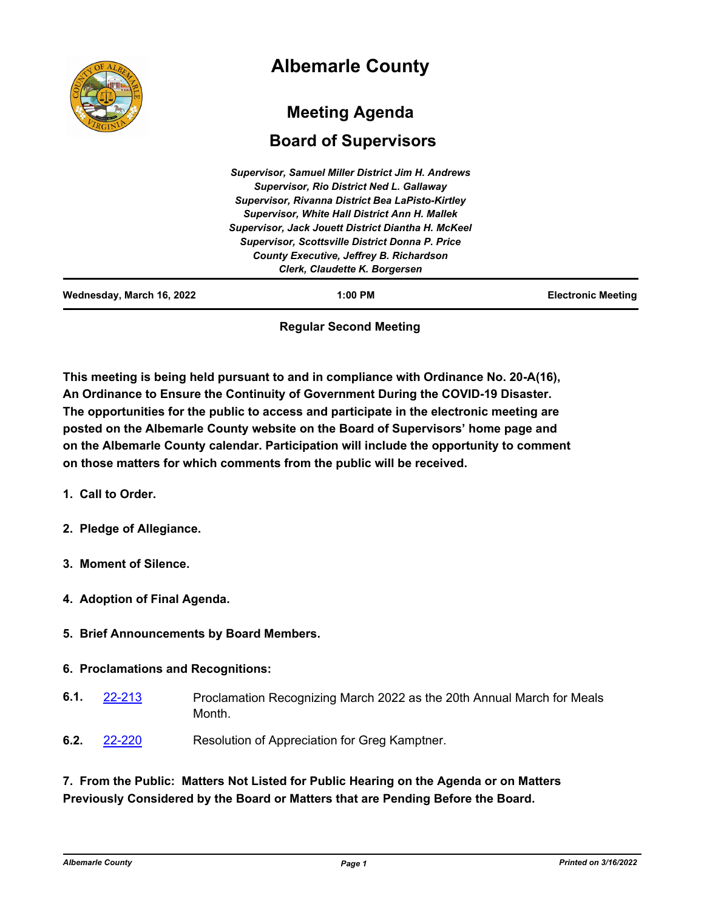|                           | <b>Albemarle County</b>                                                                                                                                                                                                                                                                                                                                                                                                    |                           |
|---------------------------|----------------------------------------------------------------------------------------------------------------------------------------------------------------------------------------------------------------------------------------------------------------------------------------------------------------------------------------------------------------------------------------------------------------------------|---------------------------|
|                           | <b>Meeting Agenda</b><br><b>Board of Supervisors</b>                                                                                                                                                                                                                                                                                                                                                                       |                           |
|                           | <b>Supervisor, Samuel Miller District Jim H. Andrews</b><br><b>Supervisor, Rio District Ned L. Gallaway</b><br>Supervisor, Rivanna District Bea LaPisto-Kirtley<br><b>Supervisor, White Hall District Ann H. Mallek</b><br>Supervisor, Jack Jouett District Diantha H. McKeel<br><b>Supervisor, Scottsville District Donna P. Price</b><br><b>County Executive, Jeffrey B. Richardson</b><br>Clerk, Claudette K. Borgersen |                           |
| Wednesday, March 16, 2022 | $1:00$ PM                                                                                                                                                                                                                                                                                                                                                                                                                  | <b>Electronic Meeting</b> |

# **Regular Second Meeting**

**This meeting is being held pursuant to and in compliance with Ordinance No. 20-A(16), An Ordinance to Ensure the Continuity of Government During the COVID-19 Disaster. The opportunities for the public to access and participate in the electronic meeting are posted on the Albemarle County website on the Board of Supervisors' home page and on the Albemarle County calendar. Participation will include the opportunity to comment on those matters for which comments from the public will be received.**

- **1. Call to Order.**
- **2. Pledge of Allegiance.**
- **3. Moment of Silence.**
- **4. Adoption of Final Agenda.**
- **5. Brief Announcements by Board Members.**

## **6. Proclamations and Recognitions:**

- Proclamation Recognizing March 2022 as the 20th Annual March for Meals Month. **6.1.** [22-213](http://albemarle.legistar.com/gateway.aspx?m=l&id=/matter.aspx?key=6958)
- **6.2.** [22-220](http://albemarle.legistar.com/gateway.aspx?m=l&id=/matter.aspx?key=6965) Resolution of Appreciation for Greg Kamptner.

# **7. From the Public: Matters Not Listed for Public Hearing on the Agenda or on Matters Previously Considered by the Board or Matters that are Pending Before the Board.**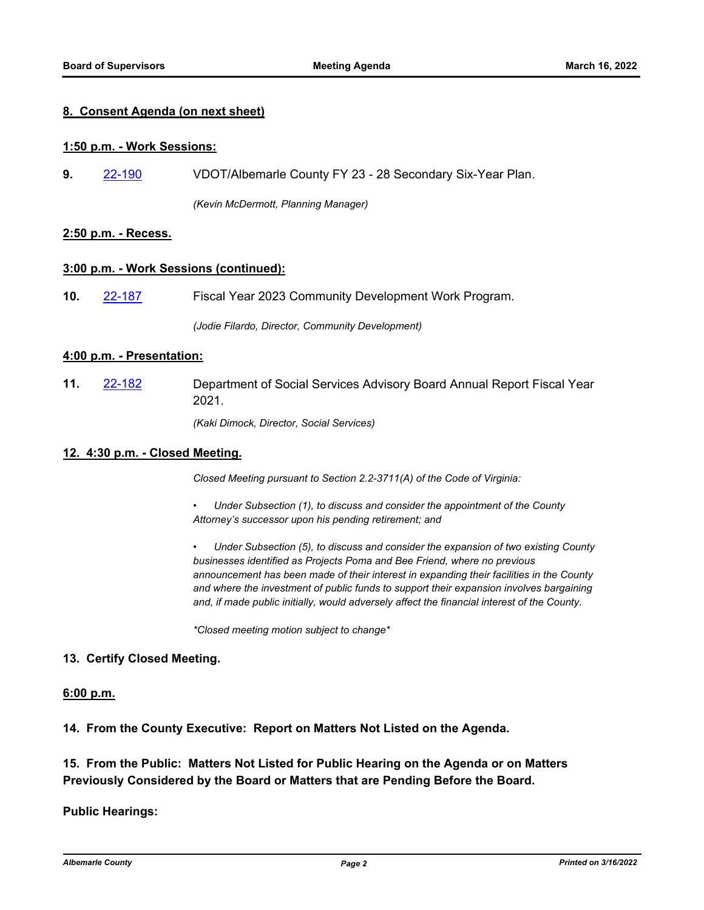### **8. Consent Agenda (on next sheet)**

#### **1:50 p.m. - Work Sessions:**

**9.** [22-190](http://albemarle.legistar.com/gateway.aspx?m=l&id=/matter.aspx?key=6935) VDOT/Albemarle County FY 23 - 28 Secondary Six-Year Plan.

*(Kevin McDermott, Planning Manager)*

### **2:50 p.m. - Recess.**

#### **3:00 p.m. - Work Sessions (continued):**

**10.** [22-187](http://albemarle.legistar.com/gateway.aspx?m=l&id=/matter.aspx?key=6932) Fiscal Year 2023 Community Development Work Program.

*(Jodie Filardo, Director, Community Development)*

#### **4:00 p.m. - Presentation:**

Department of Social Services Advisory Board Annual Report Fiscal Year 2021. **11.** [22-182](http://albemarle.legistar.com/gateway.aspx?m=l&id=/matter.aspx?key=6927)

*(Kaki Dimock, Director, Social Services)*

#### **12. 4:30 p.m. - Closed Meeting.**

*Closed Meeting pursuant to Section 2.2-3711(A) of the Code of Virginia:*

*• Under Subsection (1), to discuss and consider the appointment of the County Attorney's successor upon his pending retirement; and*

*• Under Subsection (5), to discuss and consider the expansion of two existing County businesses identified as Projects Poma and Bee Friend, where no previous announcement has been made of their interest in expanding their facilities in the County and where the investment of public funds to support their expansion involves bargaining and, if made public initially, would adversely affect the financial interest of the County.*

*\*Closed meeting motion subject to change\**

### **13. Certify Closed Meeting.**

#### **6:00 p.m.**

**14. From the County Executive: Report on Matters Not Listed on the Agenda.**

**15. From the Public: Matters Not Listed for Public Hearing on the Agenda or on Matters Previously Considered by the Board or Matters that are Pending Before the Board.**

**Public Hearings:**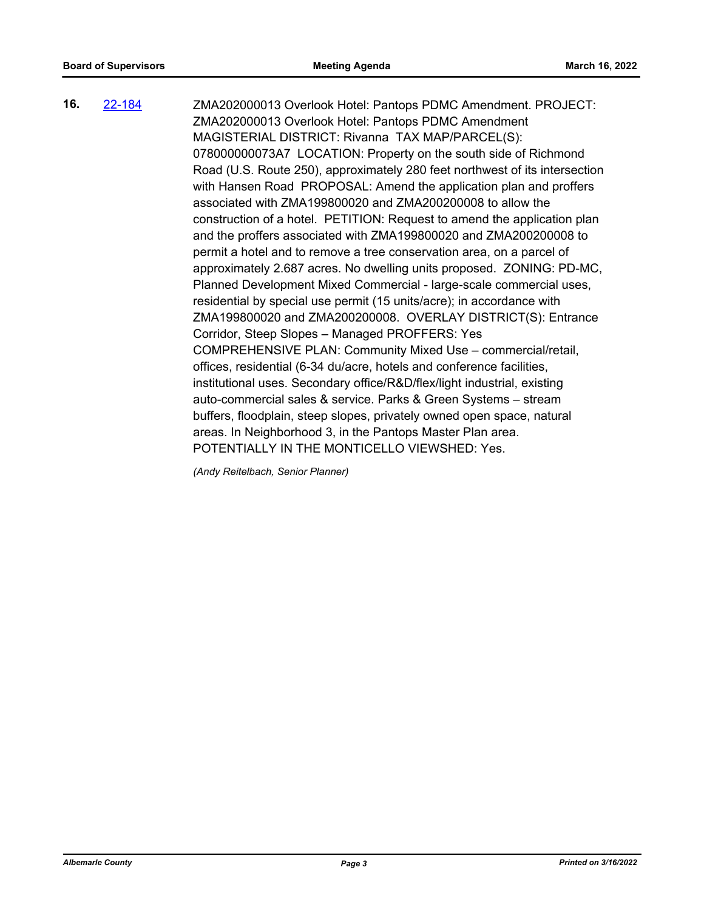ZMA202000013 Overlook Hotel: Pantops PDMC Amendment. PROJECT: ZMA202000013 Overlook Hotel: Pantops PDMC Amendment MAGISTERIAL DISTRICT: Rivanna TAX MAP/PARCEL(S): 078000000073A7 LOCATION: Property on the south side of Richmond Road (U.S. Route 250), approximately 280 feet northwest of its intersection with Hansen Road PROPOSAL: Amend the application plan and proffers associated with ZMA199800020 and ZMA200200008 to allow the construction of a hotel. PETITION: Request to amend the application plan and the proffers associated with ZMA199800020 and ZMA200200008 to permit a hotel and to remove a tree conservation area, on a parcel of approximately 2.687 acres. No dwelling units proposed. ZONING: PD-MC, Planned Development Mixed Commercial - large-scale commercial uses, residential by special use permit (15 units/acre); in accordance with ZMA199800020 and ZMA200200008. OVERLAY DISTRICT(S): Entrance Corridor, Steep Slopes – Managed PROFFERS: Yes COMPREHENSIVE PLAN: Community Mixed Use – commercial/retail, offices, residential (6-34 du/acre, hotels and conference facilities, institutional uses. Secondary office/R&D/flex/light industrial, existing auto-commercial sales & service. Parks & Green Systems – stream buffers, floodplain, steep slopes, privately owned open space, natural areas. In Neighborhood 3, in the Pantops Master Plan area. POTENTIALLY IN THE MONTICELLO VIEWSHED: Yes. **16.** [22-184](http://albemarle.legistar.com/gateway.aspx?m=l&id=/matter.aspx?key=6929)

*(Andy Reitelbach, Senior Planner)*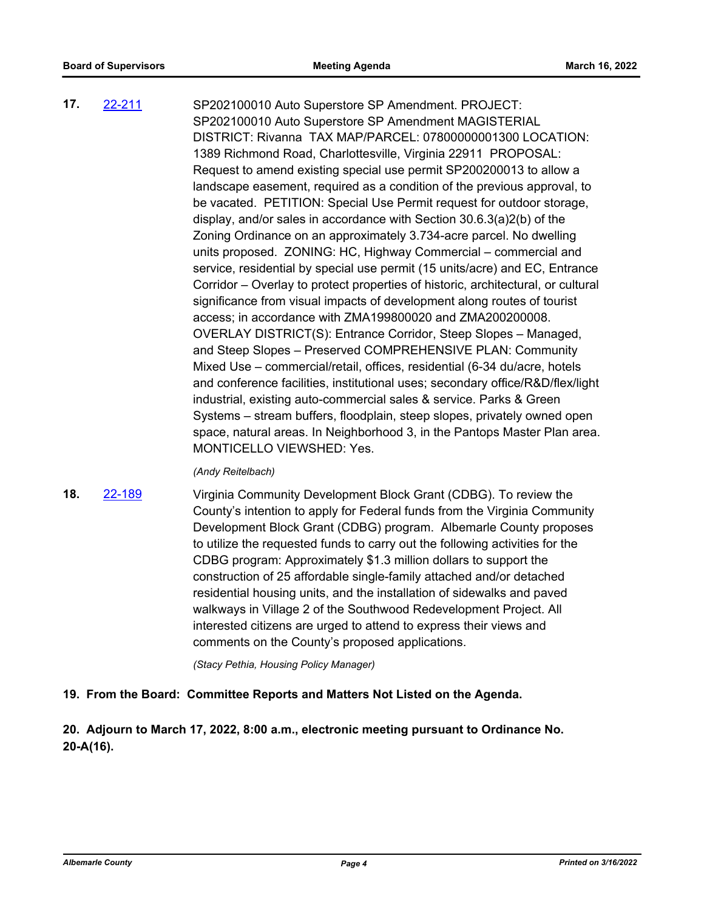SP202100010 Auto Superstore SP Amendment. PROJECT: SP202100010 Auto Superstore SP Amendment MAGISTERIAL DISTRICT: Rivanna TAX MAP/PARCEL: 07800000001300 LOCATION: 1389 Richmond Road, Charlottesville, Virginia 22911 PROPOSAL: Request to amend existing special use permit SP200200013 to allow a landscape easement, required as a condition of the previous approval, to be vacated. PETITION: Special Use Permit request for outdoor storage, display, and/or sales in accordance with Section 30.6.3(a)2(b) of the Zoning Ordinance on an approximately 3.734-acre parcel. No dwelling units proposed. ZONING: HC, Highway Commercial – commercial and service, residential by special use permit (15 units/acre) and EC, Entrance Corridor – Overlay to protect properties of historic, architectural, or cultural significance from visual impacts of development along routes of tourist access; in accordance with ZMA199800020 and ZMA200200008. OVERLAY DISTRICT(S): Entrance Corridor, Steep Slopes – Managed, and Steep Slopes – Preserved COMPREHENSIVE PLAN: Community Mixed Use – commercial/retail, offices, residential (6-34 du/acre, hotels and conference facilities, institutional uses; secondary office/R&D/flex/light industrial, existing auto-commercial sales & service. Parks & Green Systems – stream buffers, floodplain, steep slopes, privately owned open space, natural areas. In Neighborhood 3, in the Pantops Master Plan area. MONTICELLO VIEWSHED: Yes. **17.** [22-211](http://albemarle.legistar.com/gateway.aspx?m=l&id=/matter.aspx?key=6956)

#### *(Andy Reitelbach)*

**18.** [22-189](http://albemarle.legistar.com/gateway.aspx?m=l&id=/matter.aspx?key=6934)

Virginia Community Development Block Grant (CDBG). To review the County's intention to apply for Federal funds from the Virginia Community Development Block Grant (CDBG) program. Albemarle County proposes to utilize the requested funds to carry out the following activities for the CDBG program: Approximately \$1.3 million dollars to support the construction of 25 affordable single-family attached and/or detached residential housing units, and the installation of sidewalks and paved walkways in Village 2 of the Southwood Redevelopment Project. All interested citizens are urged to attend to express their views and comments on the County's proposed applications.

*(Stacy Pethia, Housing Policy Manager)*

## **19. From the Board: Committee Reports and Matters Not Listed on the Agenda.**

**20. Adjourn to March 17, 2022, 8:00 a.m., electronic meeting pursuant to Ordinance No. 20-A(16).**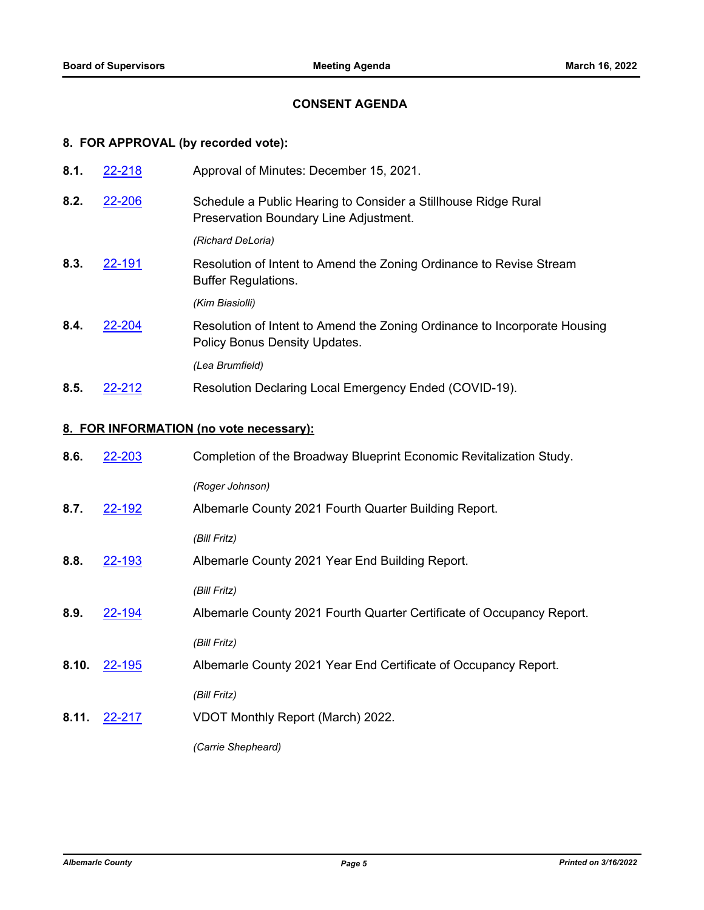# **CONSENT AGENDA**

# **8. FOR APPROVAL (by recorded vote):**

| 8.1. | 22-218 | Approval of Minutes: December 15, 2021.                                                                    |
|------|--------|------------------------------------------------------------------------------------------------------------|
| 8.2. | 22-206 | Schedule a Public Hearing to Consider a Stillhouse Ridge Rural<br>Preservation Boundary Line Adjustment.   |
|      |        | (Richard DeLoria)                                                                                          |
| 8.3. | 22-191 | Resolution of Intent to Amend the Zoning Ordinance to Revise Stream<br><b>Buffer Regulations.</b>          |
|      |        | (Kim Biasiolli)                                                                                            |
| 8.4. | 22-204 | Resolution of Intent to Amend the Zoning Ordinance to Incorporate Housing<br>Policy Bonus Density Updates. |
|      |        | (Lea Brumfield)                                                                                            |
| 8.5. | 22-212 | Resolution Declaring Local Emergency Ended (COVID-19).                                                     |

### **8. FOR INFORMATION (no vote necessary):**

| 8.6.  | 22-203 | Completion of the Broadway Blueprint Economic Revitalization Study.   |
|-------|--------|-----------------------------------------------------------------------|
|       |        | (Roger Johnson)                                                       |
| 8.7.  | 22-192 | Albemarle County 2021 Fourth Quarter Building Report.                 |
|       |        | (Bill Fritz)                                                          |
| 8.8.  | 22-193 | Albemarle County 2021 Year End Building Report.                       |
|       |        | (Bill Fritz)                                                          |
| 8.9.  | 22-194 | Albemarle County 2021 Fourth Quarter Certificate of Occupancy Report. |
|       |        | (Bill Fritz)                                                          |
| 8.10. | 22-195 | Albemarle County 2021 Year End Certificate of Occupancy Report.       |
|       |        | (Bill Fritz)                                                          |
| 8.11. | 22-217 | VDOT Monthly Report (March) 2022.                                     |
|       |        | (Carrie Shepheard)                                                    |